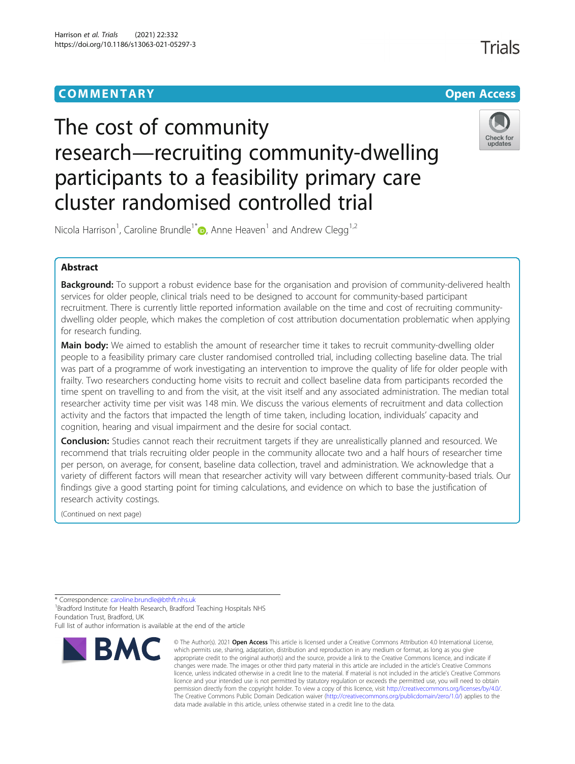## **COMMENTARY COMMENTARY Open Access**

# The cost of community research—recruiting community-dwelling participants to a feasibility primary care cluster randomised controlled trial



Trials

Nicola Harrison<sup>1</sup>[,](http://orcid.org/0000-0003-3412-7280) Caroline Brundle<sup>1\*</sup> $\textcolor{red}{\bullet}$ , Anne Heaven<sup>1</sup> and Andrew Clegg<sup>1,2</sup>

## Abstract

Background: To support a robust evidence base for the organisation and provision of community-delivered health services for older people, clinical trials need to be designed to account for community-based participant recruitment. There is currently little reported information available on the time and cost of recruiting communitydwelling older people, which makes the completion of cost attribution documentation problematic when applying for research funding.

Main body: We aimed to establish the amount of researcher time it takes to recruit community-dwelling older people to a feasibility primary care cluster randomised controlled trial, including collecting baseline data. The trial was part of a programme of work investigating an intervention to improve the quality of life for older people with frailty. Two researchers conducting home visits to recruit and collect baseline data from participants recorded the time spent on travelling to and from the visit, at the visit itself and any associated administration. The median total researcher activity time per visit was 148 min. We discuss the various elements of recruitment and data collection activity and the factors that impacted the length of time taken, including location, individuals' capacity and cognition, hearing and visual impairment and the desire for social contact.

Conclusion: Studies cannot reach their recruitment targets if they are unrealistically planned and resourced. We recommend that trials recruiting older people in the community allocate two and a half hours of researcher time per person, on average, for consent, baseline data collection, travel and administration. We acknowledge that a variety of different factors will mean that researcher activity will vary between different community-based trials. Our findings give a good starting point for timing calculations, and evidence on which to base the justification of research activity costings.

(Continued on next page)

<sup>\*</sup> Correspondence: [caroline.brundle@bthft.nhs.uk](mailto:caroline.brundle@bthft.nhs.uk) <sup>1</sup> <sup>1</sup>Bradford Institute for Health Research, Bradford Teaching Hospitals NHS Foundation Trust, Bradford, UK Full list of author information is available at the end of the article



<sup>©</sup> The Author(s), 2021 **Open Access** This article is licensed under a Creative Commons Attribution 4.0 International License, which permits use, sharing, adaptation, distribution and reproduction in any medium or format, as long as you give appropriate credit to the original author(s) and the source, provide a link to the Creative Commons licence, and indicate if changes were made. The images or other third party material in this article are included in the article's Creative Commons licence, unless indicated otherwise in a credit line to the material. If material is not included in the article's Creative Commons licence and your intended use is not permitted by statutory regulation or exceeds the permitted use, you will need to obtain permission directly from the copyright holder. To view a copy of this licence, visit [http://creativecommons.org/licenses/by/4.0/.](http://creativecommons.org/licenses/by/4.0/) The Creative Commons Public Domain Dedication waiver [\(http://creativecommons.org/publicdomain/zero/1.0/](http://creativecommons.org/publicdomain/zero/1.0/)) applies to the data made available in this article, unless otherwise stated in a credit line to the data.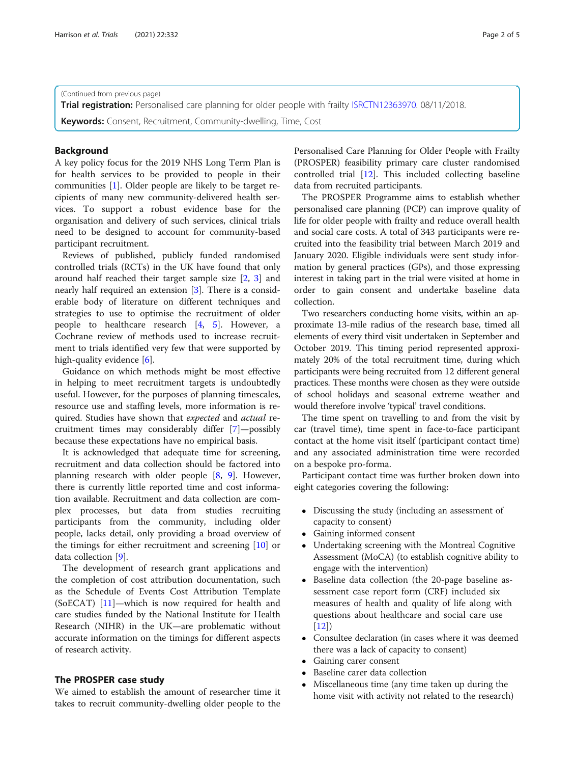(Continued from previous page)

Trial registration: Personalised care planning for older people with frailty [ISRCTN12363970](https://doi.org/10.1186/ISRCTN12363970). 08/11/2018.

Keywords: Consent, Recruitment, Community-dwelling, Time, Cost

## Background

A key policy focus for the 2019 NHS Long Term Plan is for health services to be provided to people in their communities [\[1](#page-4-0)]. Older people are likely to be target recipients of many new community-delivered health services. To support a robust evidence base for the organisation and delivery of such services, clinical trials need to be designed to account for community-based participant recruitment.

Reviews of published, publicly funded randomised controlled trials (RCTs) in the UK have found that only around half reached their target sample size [[2,](#page-4-0) [3](#page-4-0)] and nearly half required an extension [[3\]](#page-4-0). There is a considerable body of literature on different techniques and strategies to use to optimise the recruitment of older people to healthcare research [[4,](#page-4-0) [5](#page-4-0)]. However, a Cochrane review of methods used to increase recruitment to trials identified very few that were supported by high-quality evidence [\[6\]](#page-4-0).

Guidance on which methods might be most effective in helping to meet recruitment targets is undoubtedly useful. However, for the purposes of planning timescales, resource use and staffing levels, more information is required. Studies have shown that expected and actual recruitment times may considerably differ [[7\]](#page-4-0)—possibly because these expectations have no empirical basis.

It is acknowledged that adequate time for screening, recruitment and data collection should be factored into planning research with older people [\[8](#page-4-0), [9\]](#page-4-0). However, there is currently little reported time and cost information available. Recruitment and data collection are complex processes, but data from studies recruiting participants from the community, including older people, lacks detail, only providing a broad overview of the timings for either recruitment and screening [\[10](#page-4-0)] or data collection [[9\]](#page-4-0).

The development of research grant applications and the completion of cost attribution documentation, such as the Schedule of Events Cost Attribution Template (SoECAT)  $[11]$  $[11]$  $[11]$ —which is now required for health and care studies funded by the National Institute for Health Research (NIHR) in the UK—are problematic without accurate information on the timings for different aspects of research activity.

## The PROSPER case study

We aimed to establish the amount of researcher time it takes to recruit community-dwelling older people to the Personalised Care Planning for Older People with Frailty (PROSPER) feasibility primary care cluster randomised controlled trial [[12](#page-4-0)]. This included collecting baseline data from recruited participants.

The PROSPER Programme aims to establish whether personalised care planning (PCP) can improve quality of life for older people with frailty and reduce overall health and social care costs. A total of 343 participants were recruited into the feasibility trial between March 2019 and January 2020. Eligible individuals were sent study information by general practices (GPs), and those expressing interest in taking part in the trial were visited at home in order to gain consent and undertake baseline data collection.

Two researchers conducting home visits, within an approximate 13-mile radius of the research base, timed all elements of every third visit undertaken in September and October 2019. This timing period represented approximately 20% of the total recruitment time, during which participants were being recruited from 12 different general practices. These months were chosen as they were outside of school holidays and seasonal extreme weather and would therefore involve 'typical' travel conditions.

The time spent on travelling to and from the visit by car (travel time), time spent in face-to-face participant contact at the home visit itself (participant contact time) and any associated administration time were recorded on a bespoke pro-forma.

Participant contact time was further broken down into eight categories covering the following:

- Discussing the study (including an assessment of capacity to consent)
- Gaining informed consent
- Undertaking screening with the Montreal Cognitive Assessment (MoCA) (to establish cognitive ability to engage with the intervention)
- Baseline data collection (the 20-page baseline assessment case report form (CRF) included six measures of health and quality of life along with questions about healthcare and social care use  $[12]$  $[12]$
- Consultee declaration (in cases where it was deemed there was a lack of capacity to consent)
- Gaining carer consent
- Baseline carer data collection
- Miscellaneous time (any time taken up during the home visit with activity not related to the research)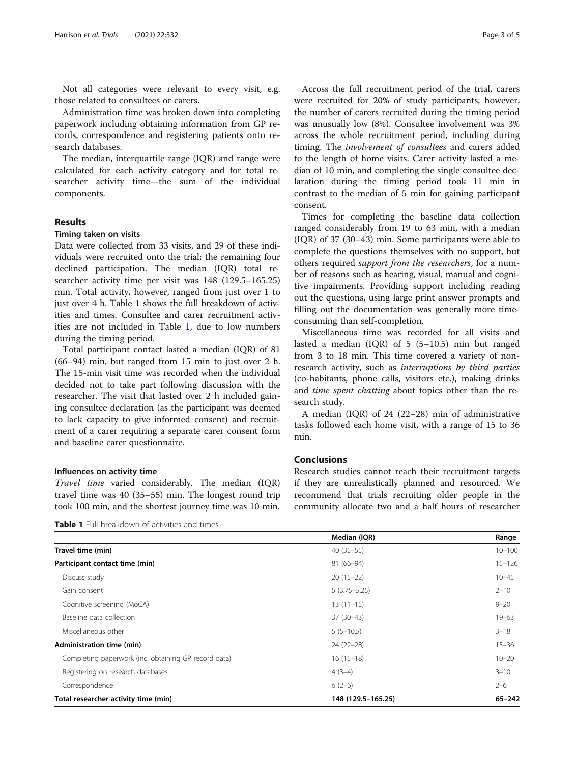Not all categories were relevant to every visit, e.g. those related to consultees or carers.

Administration time was broken down into completing paperwork including obtaining information from GP records, correspondence and registering patients onto research databases.

The median, interquartile range (IQR) and range were calculated for each activity category and for total researcher activity time—the sum of the individual components.

## Results

#### Timing taken on visits

Data were collected from 33 visits, and 29 of these individuals were recruited onto the trial; the remaining four declined participation. The median (IQR) total researcher activity time per visit was 148 (129.5–165.25) min. Total activity, however, ranged from just over 1 to just over 4 h. Table 1 shows the full breakdown of activities and times. Consultee and carer recruitment activities are not included in Table 1, due to low numbers during the timing period.

Total participant contact lasted a median (IQR) of 81 (66–94) min, but ranged from 15 min to just over 2 h. The 15-min visit time was recorded when the individual decided not to take part following discussion with the researcher. The visit that lasted over 2 h included gaining consultee declaration (as the participant was deemed to lack capacity to give informed consent) and recruitment of a carer requiring a separate carer consent form and baseline carer questionnaire.

## Influences on activity time

Travel time varied considerably. The median (IQR) travel time was 40 (35–55) min. The longest round trip took 100 min, and the shortest journey time was 10 min.

Table 1 Full breakdown of activities and times

Across the full recruitment period of the trial, carers were recruited for 20% of study participants; however, the number of carers recruited during the timing period was unusually low (8%). Consultee involvement was 3% across the whole recruitment period, including during timing. The *involvement of consultees* and carers added to the length of home visits. Carer activity lasted a median of 10 min, and completing the single consultee declaration during the timing period took 11 min in contrast to the median of 5 min for gaining participant consent.

Times for completing the baseline data collection ranged considerably from 19 to 63 min, with a median (IQR) of 37 (30–43) min. Some participants were able to complete the questions themselves with no support, but others required support from the researchers, for a number of reasons such as hearing, visual, manual and cognitive impairments. Providing support including reading out the questions, using large print answer prompts and filling out the documentation was generally more timeconsuming than self-completion.

Miscellaneous time was recorded for all visits and lasted a median (IQR) of 5 (5–10.5) min but ranged from 3 to 18 min. This time covered a variety of nonresearch activity, such as interruptions by third parties (co-habitants, phone calls, visitors etc.), making drinks and time spent chatting about topics other than the research study.

A median (IQR) of 24 (22–28) min of administrative tasks followed each home visit, with a range of 15 to 36 min.

## Conclusions

Research studies cannot reach their recruitment targets if they are unrealistically planned and resourced. We recommend that trials recruiting older people in the community allocate two and a half hours of researcher

|                                                      | Median (IQR)       | Range      |
|------------------------------------------------------|--------------------|------------|
| Travel time (min)                                    | $40(35-55)$        | $10 - 100$ |
| Participant contact time (min)                       | $81(66-94)$        | $15 - 126$ |
| Discuss study                                        | $20(15-22)$        | $10 - 45$  |
| Gain consent                                         | $5(3.75 - 5.25)$   | $2 - 10$   |
| Cognitive screening (MoCA)                           | $13(11-15)$        | $9 - 20$   |
| Baseline data collection                             | $37(30-43)$        | $19 - 63$  |
| Miscellaneous other                                  | $5(5-10.5)$        | $3 - 18$   |
| Administration time (min)                            | 24 (22-28)         | $15 - 36$  |
| Completing paperwork (inc. obtaining GP record data) | $16(15-18)$        | $10 - 20$  |
| Registering on research databases                    | $4(3-4)$           | $3 - 10$   |
| Correspondence                                       | $6(2-6)$           | $2 - 6$    |
| Total researcher activity time (min)                 | 148 (129.5-165.25) | $65 - 242$ |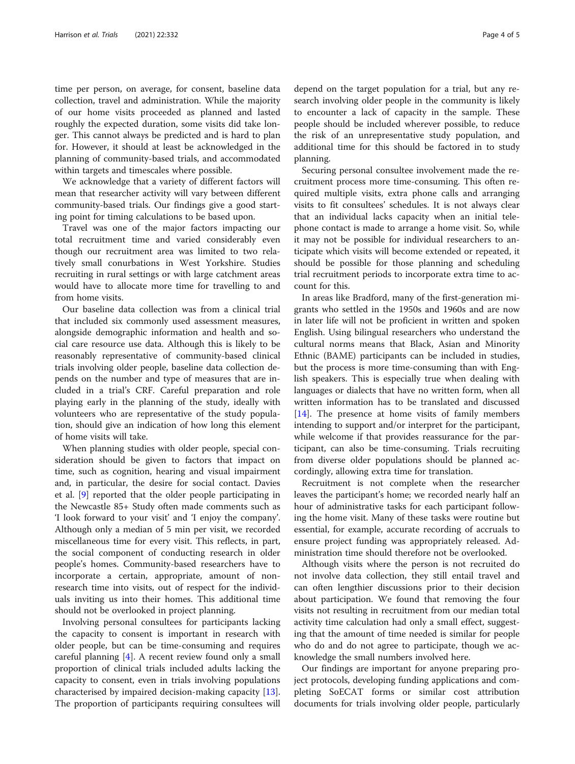time per person, on average, for consent, baseline data collection, travel and administration. While the majority of our home visits proceeded as planned and lasted roughly the expected duration, some visits did take longer. This cannot always be predicted and is hard to plan for. However, it should at least be acknowledged in the planning of community-based trials, and accommodated within targets and timescales where possible.

We acknowledge that a variety of different factors will mean that researcher activity will vary between different community-based trials. Our findings give a good starting point for timing calculations to be based upon.

Travel was one of the major factors impacting our total recruitment time and varied considerably even though our recruitment area was limited to two relatively small conurbations in West Yorkshire. Studies recruiting in rural settings or with large catchment areas would have to allocate more time for travelling to and from home visits.

Our baseline data collection was from a clinical trial that included six commonly used assessment measures, alongside demographic information and health and social care resource use data. Although this is likely to be reasonably representative of community-based clinical trials involving older people, baseline data collection depends on the number and type of measures that are included in a trial's CRF. Careful preparation and role playing early in the planning of the study, ideally with volunteers who are representative of the study population, should give an indication of how long this element of home visits will take.

When planning studies with older people, special consideration should be given to factors that impact on time, such as cognition, hearing and visual impairment and, in particular, the desire for social contact. Davies et al. [\[9](#page-4-0)] reported that the older people participating in the Newcastle 85+ Study often made comments such as 'I look forward to your visit' and 'I enjoy the company'. Although only a median of 5 min per visit, we recorded miscellaneous time for every visit. This reflects, in part, the social component of conducting research in older people's homes. Community-based researchers have to incorporate a certain, appropriate, amount of nonresearch time into visits, out of respect for the individuals inviting us into their homes. This additional time should not be overlooked in project planning.

Involving personal consultees for participants lacking the capacity to consent is important in research with older people, but can be time-consuming and requires careful planning [\[4\]](#page-4-0). A recent review found only a small proportion of clinical trials included adults lacking the capacity to consent, even in trials involving populations characterised by impaired decision-making capacity [\[13](#page-4-0)]. The proportion of participants requiring consultees will

depend on the target population for a trial, but any research involving older people in the community is likely to encounter a lack of capacity in the sample. These people should be included wherever possible, to reduce the risk of an unrepresentative study population, and additional time for this should be factored in to study planning.

Securing personal consultee involvement made the recruitment process more time-consuming. This often required multiple visits, extra phone calls and arranging visits to fit consultees' schedules. It is not always clear that an individual lacks capacity when an initial telephone contact is made to arrange a home visit. So, while it may not be possible for individual researchers to anticipate which visits will become extended or repeated, it should be possible for those planning and scheduling trial recruitment periods to incorporate extra time to account for this.

In areas like Bradford, many of the first-generation migrants who settled in the 1950s and 1960s and are now in later life will not be proficient in written and spoken English. Using bilingual researchers who understand the cultural norms means that Black, Asian and Minority Ethnic (BAME) participants can be included in studies, but the process is more time-consuming than with English speakers. This is especially true when dealing with languages or dialects that have no written form, when all written information has to be translated and discussed [[14\]](#page-4-0). The presence at home visits of family members intending to support and/or interpret for the participant, while welcome if that provides reassurance for the participant, can also be time-consuming. Trials recruiting from diverse older populations should be planned accordingly, allowing extra time for translation.

Recruitment is not complete when the researcher leaves the participant's home; we recorded nearly half an hour of administrative tasks for each participant following the home visit. Many of these tasks were routine but essential, for example, accurate recording of accruals to ensure project funding was appropriately released. Administration time should therefore not be overlooked.

Although visits where the person is not recruited do not involve data collection, they still entail travel and can often lengthier discussions prior to their decision about participation. We found that removing the four visits not resulting in recruitment from our median total activity time calculation had only a small effect, suggesting that the amount of time needed is similar for people who do and do not agree to participate, though we acknowledge the small numbers involved here.

Our findings are important for anyone preparing project protocols, developing funding applications and completing SoECAT forms or similar cost attribution documents for trials involving older people, particularly